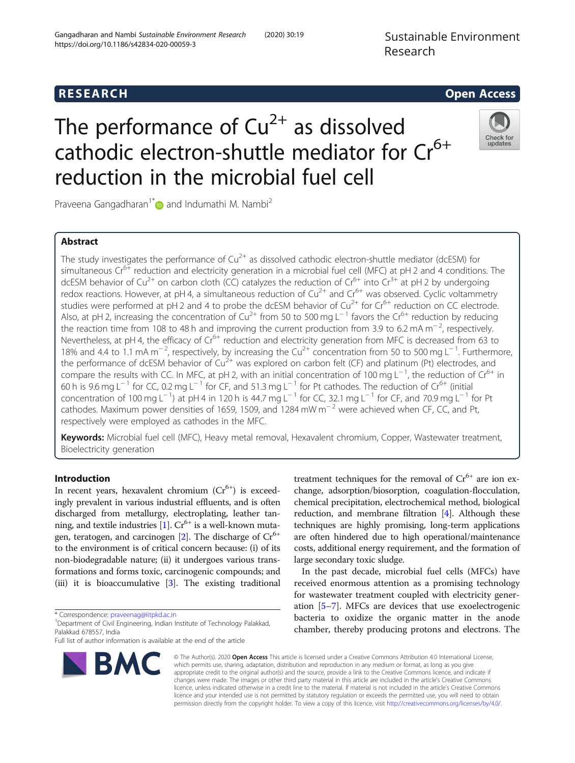https://doi.org/10.1186/s42834-020-00059-3

# The performance of  $Cu^{2+}$  as dissolved cathodic electron-shuttle mediator for  $Cr^{6+}$ reduction in the microbial fuel cell



Praveena Gangadharan<sup>1\*</sup> and Indumathi M. Nambi<sup>2</sup>

Gangadharan and Nambi Sustainable Environment Research (2020) 30:19

# Abstract

The study investigates the performance of  $Cu^{2+}$  as dissolved cathodic electron-shuttle mediator (dcESM) for simultaneous  $\text{Cr}^{6+}$  reduction and electricity generation in a microbial fuel cell (MFC) at pH 2 and 4 conditions. The dcESM behavior of Cu<sup>2+</sup> on carbon cloth (CC) catalyzes the reduction of Cr<sup>6+</sup> into Cr<sup>3+</sup> at pH 2 by undergoing redox reactions. However, at pH 4, a simultaneous reduction of  $Cu^{2+}$  and  $Cr^{6+}$  was observed. Cyclic voltammetry studies were performed at pH 2 and 4 to probe the dcESM behavior of Cu<sup>2+</sup> for Cr<sup>6+</sup> reduction on CC electrode. Also, at pH 2, increasing the concentration of Cu2+ from 50 to 500 mg L<sup>−</sup> <sup>1</sup> favors the Cr6+ reduction by reducing the reaction time from 108 to 48 h and improving the current production from 3.9 to 6.2 mA m<sup>−</sup> <sup>2</sup> , respectively. Nevertheless, at pH 4, the efficacy of Cr<sup>6+</sup> reduction and electricity generation from MFC is decreased from 63 to 18% and 4.4 to 1.1 mA m<sup>−2</sup>, respectively, by increasing the Cu<sup>2+</sup> concentration from 50 to 500 mg L<sup>−1</sup>. Furthermore, the performance of dcESM behavior of  $Cu^{2+}$  was explored on carbon felt (CF) and platinum (Pt) electrodes, and compare the results with CC. In MFC, at pH 2, with an initial concentration of 100 mg L<sup>−1</sup>, the reduction of Cr<sup>6+</sup> in 60 h is 9.6 mg L<sup>−1</sup> for CC, 0.2 mg L<sup>−1</sup> for CF, and 51.3 mg L<sup>−1</sup> for Pt cathodes. The reduction of Cr<sup>6+</sup> (initial) concentration of 100 mg L<sup>−1</sup>) at pH 4 in 120 h is 44.7 mg L<sup>−1</sup> for CC, 32.1 mg L<sup>−1</sup> for CF, and 70.9 mg L<sup>−1</sup> for Pt cathodes. Maximum power densities of 1659, 1509, and 1284 mW m<sup>-2</sup> were achieved when CF, CC, and Pt, respectively were employed as cathodes in the MFC.

Keywords: Microbial fuel cell (MFC), Heavy metal removal, Hexavalent chromium, Copper, Wastewater treatment, Bioelectricity generation

# Introduction

In recent years, hexavalent chromium  $(Cr^{6+})$  is exceedingly prevalent in various industrial effluents, and is often discharged from metallurgy, electroplating, leather tan-ning, and textile industries [\[1\]](#page-9-0).  $Cr^{6+}$  is a well-known mutagen, teratogen, and carcinogen  $[2]$  $[2]$  $[2]$ . The discharge of  $Cr^{6+}$ to the environment is of critical concern because: (i) of its non-biodegradable nature; (ii) it undergoes various transformations and forms toxic, carcinogenic compounds; and (iii) it is bioaccumulative [\[3](#page-9-0)]. The existing traditional

\* Correspondence: [praveenag@iitpkd.ac.in](mailto:praveenag@iitpkd.ac.in)

Full list of author information is available at the end of the article



treatment techniques for the removal of  $Cr^{6+}$  are ion exchange, adsorption/biosorption, coagulation-flocculation, chemical precipitation, electrochemical method, biological reduction, and membrane filtration [\[4](#page-9-0)]. Although these techniques are highly promising, long-term applications are often hindered due to high operational/maintenance costs, additional energy requirement, and the formation of large secondary toxic sludge.

In the past decade, microbial fuel cells (MFCs) have received enormous attention as a promising technology for wastewater treatment coupled with electricity generation [[5](#page-9-0)–[7](#page-9-0)]. MFCs are devices that use exoelectrogenic bacteria to oxidize the organic matter in the anode chamber, thereby producing protons and electrons. The

© The Author(s). 2020 Open Access This article is licensed under a Creative Commons Attribution 4.0 International License, which permits use, sharing, adaptation, distribution and reproduction in any medium or format, as long as you give appropriate credit to the original author(s) and the source, provide a link to the Creative Commons licence, and indicate if changes were made. The images or other third party material in this article are included in the article's Creative Commons licence, unless indicated otherwise in a credit line to the material. If material is not included in the article's Creative Commons licence and your intended use is not permitted by statutory regulation or exceeds the permitted use, you will need to obtain permission directly from the copyright holder. To view a copy of this licence, visit [http://creativecommons.org/licenses/by/4.0/.](http://creativecommons.org/licenses/by/4.0/)

<sup>&</sup>lt;sup>1</sup>Department of Civil Engineering, Indian Institute of Technology Palakkad, Palakkad 678557, India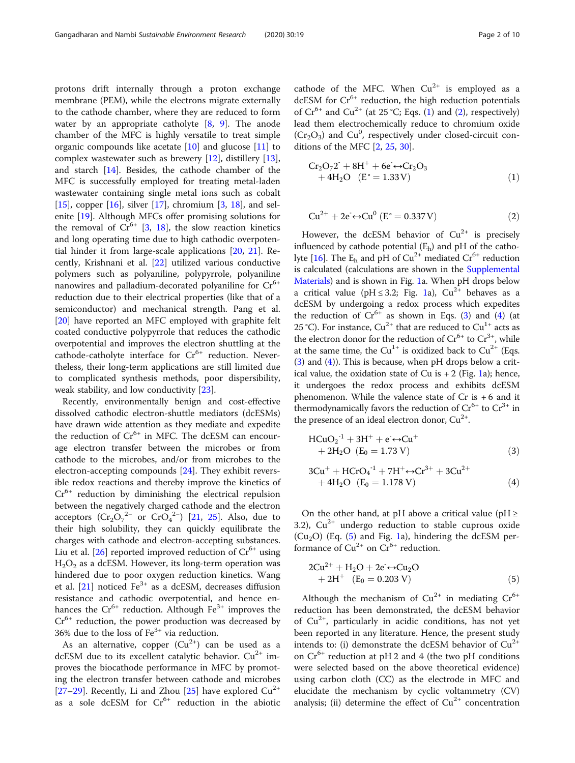<span id="page-1-0"></span>protons drift internally through a proton exchange membrane (PEM), while the electrons migrate externally to the cathode chamber, where they are reduced to form water by an appropriate catholyte [[8,](#page-9-0) [9\]](#page-9-0). The anode chamber of the MFC is highly versatile to treat simple organic compounds like acetate  $[10]$  $[10]$  and glucose  $[11]$  $[11]$  to complex wastewater such as brewery [[12](#page-9-0)], distillery [\[13](#page-9-0)], and starch [\[14](#page-9-0)]. Besides, the cathode chamber of the MFC is successfully employed for treating metal-laden wastewater containing single metal ions such as cobalt [[15\]](#page-9-0), copper  $[16]$  $[16]$ , silver  $[17]$  $[17]$ , chromium  $[3, 18]$  $[3, 18]$  $[3, 18]$ , and selenite [\[19](#page-9-0)]. Although MFCs offer promising solutions for the removal of  $Cr^{6+}$  [\[3,](#page-9-0) [18](#page-9-0)], the slow reaction kinetics and long operating time due to high cathodic overpotential hinder it from large-scale applications [\[20,](#page-9-0) [21](#page-9-0)]. Recently, Krishnani et al. [\[22](#page-9-0)] utilized various conductive polymers such as polyaniline, polypyrrole, polyaniline nanowires and palladium-decorated polyaniline for  $Cr^{6+}$ reduction due to their electrical properties (like that of a semiconductor) and mechanical strength. Pang et al. [[20\]](#page-9-0) have reported an MFC employed with graphite felt coated conductive polypyrrole that reduces the cathodic overpotential and improves the electron shuttling at the cathode-catholyte interface for  $Cr^{6+}$  reduction. Nevertheless, their long-term applications are still limited due to complicated synthesis methods, poor dispersibility, weak stability, and low conductivity [[23\]](#page-9-0).

Recently, environmentally benign and cost-effective dissolved cathodic electron-shuttle mediators (dcESMs) have drawn wide attention as they mediate and expedite the reduction of  $Cr^{6+}$  in MFC. The dcESM can encourage electron transfer between the microbes or from cathode to the microbes, and/or from microbes to the electron-accepting compounds [\[24](#page-9-0)]. They exhibit reversible redox reactions and thereby improve the kinetics of  $Cr<sup>6+</sup>$  reduction by diminishing the electrical repulsion between the negatively charged cathode and the electron acceptors  $(Cr_2O_7^{2-}$  or  $CrO_4^{2-}$ ) [\[21,](#page-9-0) [25](#page-9-0)]. Also, due to their high solubility, they can quickly equilibrate the charges with cathode and electron-accepting substances. Liu et al. [[26\]](#page-9-0) reported improved reduction of  $Cr^{6+}$  using  $H<sub>2</sub>O<sub>2</sub>$  as a dcESM. However, its long-term operation was hindered due to poor oxygen reduction kinetics. Wang et al.  $[21]$  $[21]$  noticed Fe<sup>3+</sup> as a dcESM, decreases diffusion resistance and cathodic overpotential, and hence enhances the  $Cr^{6+}$  reduction. Although  $Fe^{3+}$  improves the  $Cr<sup>6+</sup>$  reduction, the power production was decreased by 36% due to the loss of  $Fe<sup>3+</sup>$  via reduction.

As an alternative, copper  $(Cu^{2+})$  can be used as a dcESM due to its excellent catalytic behavior.  $Cu^{2+}$  improves the biocathode performance in MFC by promoting the electron transfer between cathode and microbes [[27](#page-9-0)–[29](#page-9-0)]. Recently, Li and Zhou [\[25](#page-9-0)] have explored  $Cu^{2+}$ as a sole dcESM for  $Cr^{6+}$  reduction in the abiotic

cathode of the MFC. When  $Cu^{2+}$  is employed as a dcESM for  $Cr^{6+}$  reduction, the high reduction potentials of  $Cr^{6+}$  and  $Cu^{2+}$  (at 25 °C; Eqs. (1) and (2), respectively) lead them electrochemically reduce to chromium oxide  $(Cr<sub>2</sub>O<sub>3</sub>)$  and  $Cu<sup>0</sup>$ , respectively under closed-circuit conditions of the MFC [\[2](#page-9-0), [25,](#page-9-0) [30\]](#page-9-0).

$$
Cr2O72+ + 8H+ + 6e+ \rightarrow Cr2O3+ 4H2O (Eo = 1.33 V)
$$
 (1)

$$
Cu^{2+} + 2e \leftrightarrow Cu^{0} (E^{\circ} = 0.337 V)
$$
 (2)

However, the dcESM behavior of  $Cu^{2+}$  is precisely influenced by cathode potential  $(E_h)$  and pH of the catho-lyte [[16](#page-9-0)]. The  $E_h$  and pH of  $Cu^{2+}$  mediated  $Cr^{6+}$  reduction is calculated (calculations are shown in the [Supplemental](#page-8-0) [Materials\)](#page-8-0) and is shown in Fig. [1a](#page-2-0). When pH drops below a critical value (pH  $\leq$  3.2; Fig. [1](#page-2-0)a),  $Cu^{2+}$  behaves as a dcESM by undergoing a redox process which expedites the reduction of  $Cr^{6+}$  as shown in Eqs. (3) and (4) (at 25 °C). For instance,  $Cu^{2+}$  that are reduced to  $Cu^{1+}$  acts as the electron donor for the reduction of  $Cr^{6+}$  to  $Cr^{3+}$ , while at the same time, the Cu<sup>1+</sup> is oxidized back to Cu<sup>2+</sup> (Eqs. (3) and (4)). This is because, when pH drops below a critical value, the oxidation state of Cu is  $+ 2$  (Fig. [1](#page-2-0)a); hence, it undergoes the redox process and exhibits dcESM phenomenon. While the valence state of Cr is + 6 and it thermodynamically favors the reduction of  $Cr^{6+}$  to  $Cr^{3+}$  in the presence of an ideal electron donor,  $Cu^{2+}$ .

$$
HCuO2-1 + 3H+ + e+ \leftrightarrow Cu++ 2H2O (E0 = 1.73 V)
$$
 (3)

$$
3Cu+ + HCrO4-1 + 7H+ \leftrightarrow Cr3+ + 3Cu2++ 4H2O (E0 = 1.178 V) (4)
$$

On the other hand, at pH above a critical value ( $pH \geq$ 3.2),  $Cu^{2+}$  undergo reduction to stable cuprous oxide  $(Cu<sub>2</sub>O)$  (Eq. (5) and Fig. [1](#page-2-0)a), hindering the dcESM performance of  $Cu^{2+}$  on  $Cr^{6+}$  reduction.

$$
2Cu^{2+} + H_2O + 2e \leftrightarrow Cu_2O + 2H^+ (E_0 = 0.203 V)
$$
 (5)

Although the mechanism of  $Cu^{2+}$  in mediating  $Cr^{6+}$ reduction has been demonstrated, the dcESM behavior of  $Cu^{2+}$ , particularly in acidic conditions, has not yet been reported in any literature. Hence, the present study intends to: (i) demonstrate the dcESM behavior of  $Cu^{2+}$ on  $Cr^{6+}$  reduction at pH 2 and 4 (the two pH conditions were selected based on the above theoretical evidence) using carbon cloth (CC) as the electrode in MFC and elucidate the mechanism by cyclic voltammetry (CV) analysis; (ii) determine the effect of  $Cu^{2+}$  concentration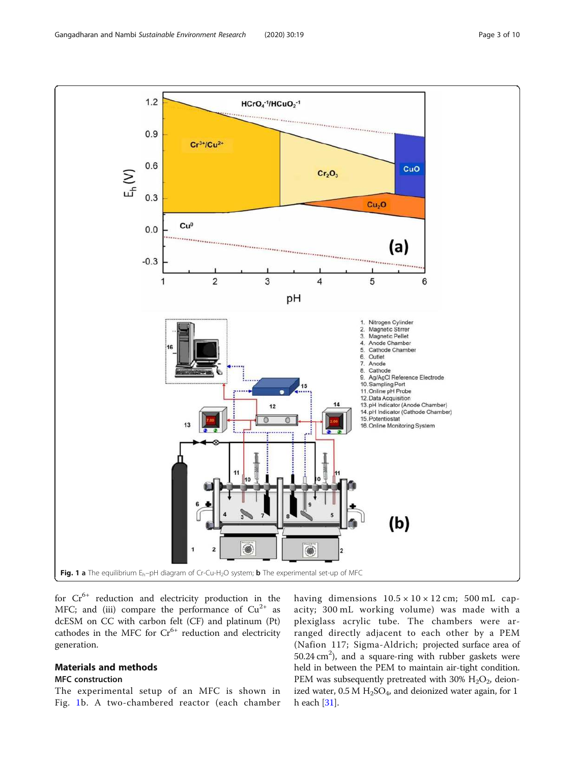<span id="page-2-0"></span>

for  $Cr^{6+}$  reduction and electricity production in the MFC; and (iii) compare the performance of  $Cu^{2+}$  as dcESM on CC with carbon felt (CF) and platinum (Pt) cathodes in the MFC for  $Cr^{6+}$  reduction and electricity generation.

# Materials and methods

# MFC construction

The experimental setup of an MFC is shown in Fig. 1b. A two-chambered reactor (each chamber having dimensions  $10.5 \times 10 \times 12$  cm;  $500$  mL capacity; 300 mL working volume) was made with a plexiglass acrylic tube. The chambers were arranged directly adjacent to each other by a PEM (Nafion 117; Sigma-Aldrich; projected surface area of 50.24 cm<sup>2</sup>), and a square-ring with rubber gaskets were held in between the PEM to maintain air-tight condition. PEM was subsequently pretreated with 30%  $H_2O_2$ , deionized water,  $0.5 M H_2SO_4$ , and deionized water again, for 1 h each [\[31](#page-9-0)].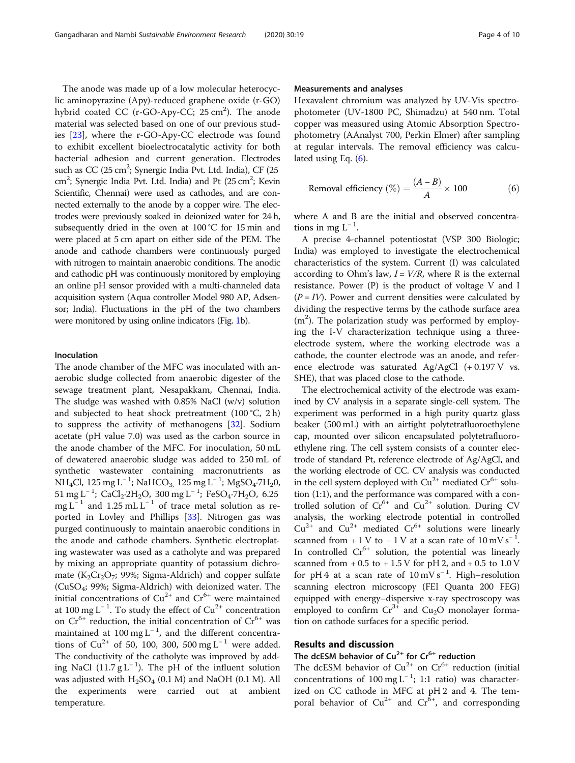The anode was made up of a low molecular heterocyclic aminopyrazine (Apy)-reduced graphene oxide (r-GO) hybrid coated CC (r-GO-Apy-CC; 25 cm<sup>2</sup>). The anode material was selected based on one of our previous studies [\[23\]](#page-9-0), where the r-GO-Apy-CC electrode was found to exhibit excellent bioelectrocatalytic activity for both bacterial adhesion and current generation. Electrodes such as  $CC$  (25  $cm^2$ ; Synergic India Pvt. Ltd. India), CF (25 cm<sup>2</sup>; Synergic India Pvt. Ltd. India) and Pt (25 cm<sup>2</sup>; Kevin Scientific, Chennai) were used as cathodes, and are connected externally to the anode by a copper wire. The electrodes were previously soaked in deionized water for 24 h, subsequently dried in the oven at 100 °C for 15 min and were placed at 5 cm apart on either side of the PEM. The anode and cathode chambers were continuously purged with nitrogen to maintain anaerobic conditions. The anodic and cathodic pH was continuously monitored by employing an online pH sensor provided with a multi-channeled data acquisition system (Aqua controller Model 980 AP, Adsensor; India). Fluctuations in the pH of the two chambers were monitored by using online indicators (Fig. [1](#page-2-0)b).

# Inoculation

The anode chamber of the MFC was inoculated with anaerobic sludge collected from anaerobic digester of the sewage treatment plant, Nesapakkam, Chennai, India. The sludge was washed with 0.85% NaCl (w/v) solution and subjected to heat shock pretreatment  $(100 \degree C, 2 h)$ to suppress the activity of methanogens [[32\]](#page-9-0). Sodium acetate (pH value 7.0) was used as the carbon source in the anode chamber of the MFC. For inoculation, 50 mL of dewatered anaerobic sludge was added to 250 mL of synthetic wastewater containing macronutrients as  $\overline{\text{NH}_4\text{Cl}}$ , 125 mg L<sup>-1</sup>; NaHCO<sub>3,</sub> 125 mg L<sup>-1</sup>; MgSO<sub>4</sub>.7H<sub>2</sub>0, 51 mg L<sup>-1</sup>; CaCl<sub>2</sub>·2H<sub>2</sub>O, 300 mg L<sup>-1</sup>; FeSO<sub>4</sub>·7H<sub>2</sub>O, 6.25 mg L<sup>-1</sup> and 1.25 mL L<sup>-1</sup> of trace metal solution as reported in Lovley and Phillips [\[33](#page-9-0)]. Nitrogen gas was purged continuously to maintain anaerobic conditions in the anode and cathode chambers. Synthetic electroplating wastewater was used as a catholyte and was prepared by mixing an appropriate quantity of potassium dichromate ( $K_2Cr_2O_7$ ; 99%; Sigma-Aldrich) and copper sulfate (CuSO<sup>4</sup> ; 99%; Sigma-Aldrich) with deionized water. The initial concentrations of  $Cu^{2+}$  and  $Cr^{6+}$  were maintained at 100 mg L<sup>-1</sup>. To study the effect of  $Cu^{2+}$  concentration on  $Cr^{6+}$  reduction, the initial concentration of  $Cr^{6+}$  was maintained at 100 mg  $L^{-1}$ , and the different concentrations of  $Cu^{2+}$  of 50, 100, 300, 500 mg L<sup>-1</sup> were added. The conductivity of the catholyte was improved by adding NaCl (11.7  $g$  L<sup>-1</sup>). The pH of the influent solution was adjusted with  $H_2SO_4$  (0.1 M) and NaOH (0.1 M). All the experiments were carried out at ambient temperature.

# Measurements and analyses

Hexavalent chromium was analyzed by UV-Vis spectrophotometer (UV-1800 PC, Shimadzu) at 540 nm. Total copper was measured using Atomic Absorption Spectrophotometry (AAnalyst 700, Perkin Elmer) after sampling at regular intervals. The removal efficiency was calculated using Eq. (6).

Removal efficiency 
$$
(\%) = \frac{(A-B)}{A} \times 100
$$
 (6)

where A and B are the initial and observed concentrations in mg  $L^{-1}$ .

A precise 4-channel potentiostat (VSP 300 Biologic; India) was employed to investigate the electrochemical characteristics of the system. Current (I) was calculated according to Ohm's law,  $I = V/R$ , where R is the external resistance. Power (P) is the product of voltage V and I  $(P = IV)$ . Power and current densities were calculated by dividing the respective terms by the cathode surface area (m<sup>2</sup>). The polarization study was performed by employing the I-V characterization technique using a threeelectrode system, where the working electrode was a cathode, the counter electrode was an anode, and reference electrode was saturated Ag/AgCl (+ 0.197 V vs. SHE), that was placed close to the cathode.

The electrochemical activity of the electrode was examined by CV analysis in a separate single-cell system. The experiment was performed in a high purity quartz glass beaker (500 mL) with an airtight polytetrafluoroethylene cap, mounted over silicon encapsulated polytetrafluoroethylene ring. The cell system consists of a counter electrode of standard Pt, reference electrode of Ag/AgCl, and the working electrode of CC. CV analysis was conducted in the cell system deployed with  $Cu^{2+}$  mediated  $Cr^{6+}$  solution (1:1), and the performance was compared with a controlled solution of  $Cr^{6+}$  and  $Cu^{2+}$  solution. During CV analysis, the working electrode potential in controlled  $Cu^{2+}$  and  $Cu^{2+}$  mediated  $Cr^{6+}$  solutions were linearly scanned from + 1 V to  $-1$  V at a scan rate of 10 mV s<sup>-1</sup>. In controlled  $Cr^{6+}$  solution, the potential was linearly scanned from  $+0.5$  to  $+1.5$  V for pH 2, and  $+0.5$  to  $1.0$  V for pH 4 at a scan rate of  $10 \text{ mV s}^{-1}$ . High–resolution scanning electron microscopy (FEI Quanta 200 FEG) equipped with energy–dispersive x-ray spectroscopy was employed to confirm  $Cr^{3+}$  and  $Cu<sub>2</sub>O$  monolayer formation on cathode surfaces for a specific period.

# Results and discussion

# The dcESM behavior of  $Cu^{2+}$  for  $Cr^{6+}$  reduction

The dcESM behavior of  $Cu^{2+}$  on  $Cr^{6+}$  reduction (initial concentrations of 100 mg L<sup>−</sup> <sup>1</sup> ; 1:1 ratio) was characterized on CC cathode in MFC at pH 2 and 4. The temporal behavior of  $Cu^{2+}$  and  $Cr^{6+}$ , and corresponding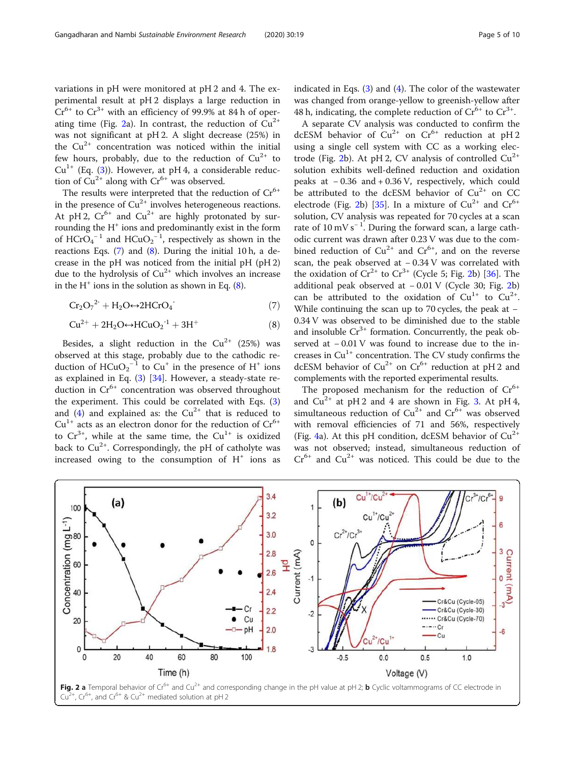variations in pH were monitored at pH 2 and 4. The experimental result at pH 2 displays a large reduction in  $Cr^{6+}$  to  $Cr^{3+}$  with an efficiency of 99.9% at 84 h of operating time (Fig. 2a). In contrast, the reduction of  $Cu^{2+}$ was not significant at pH 2. A slight decrease (25%) in the  $Cu^{2+}$  concentration was noticed within the initial few hours, probably, due to the reduction of  $Cu^{2+}$  to  $Cu^{1+}$  (Eq. ([3\)](#page-1-0)). However, at pH 4, a considerable reduction of  $Cu^{2+}$  along with  $Cr^{6+}$  was observed.

The results were interpreted that the reduction of  $Cr^{6+}$ in the presence of  $Cu^{2+}$  involves heterogeneous reactions. At pH 2,  $Cr^{6+}$  and  $Cu^{2+}$  are highly protonated by surrounding the H<sup>+</sup> ions and predominantly exist in the form of  $HCrO<sub>4</sub><sup>-1</sup>$  and  $HCuO<sub>2</sub><sup>-1</sup>$ , respectively as shown in the reactions Eqs. (7) and (8). During the initial 10 h, a decrease in the pH was noticed from the initial pH (pH 2) due to the hydrolysis of  $Cu^{2+}$  which involves an increase in the  $H^+$  ions in the solution as shown in Eq.  $(8)$ .

$$
Cr_2O_7^{2}^{\cdot} + H_2O \leftrightarrow 2HCrO_4^{\cdot} \tag{7}
$$

$$
Cu^{2+} + 2H_2O \leftrightarrow HCuO_2^{-1} + 3H^+ \tag{8}
$$

Besides, a slight reduction in the  $Cu^{2+}$  (25%) was observed at this stage, probably due to the cathodic reduction of  $HCuO_2^{-1}$  to  $Cu^+$  in the presence of H<sup>+</sup> ions as explained in Eq. ([3\)](#page-1-0) [[34\]](#page-9-0). However, a steady-state reduction in  $Cr^{6+}$  concentration was observed throughout the experiment. This could be correlated with Eqs. [\(3](#page-1-0)) and ([4\)](#page-1-0) and explained as: the  $Cu^{2+}$  that is reduced to  $Cu<sup>1+</sup>$  acts as an electron donor for the reduction of  $Cr<sup>6+</sup>$ to  $Cr^{3+}$ , while at the same time, the  $Cu^{1+}$  is oxidized back to  $Cu^{2+}$ . Correspondingly, the pH of catholyte was increased owing to the consumption of  $H^+$  ions as

indicated in Eqs. ([3\)](#page-1-0) and ([4\)](#page-1-0). The color of the wastewater was changed from orange-yellow to greenish-yellow after 48 h, indicating, the complete reduction of  $Cr^{6+}$  to  $Cr^{3+}$ .

A separate CV analysis was conducted to confirm the dcESM behavior of  $Cu^{2+}$  on  $Cr^{6+}$  reduction at pH 2 using a single cell system with CC as a working electrode (Fig. 2b). At pH 2, CV analysis of controlled  $Cu^{2+}$ solution exhibits well-defined reduction and oxidation peaks at − 0.36 and + 0.36 V, respectively, which could be attributed to the dcESM behavior of  $Cu^{2+}$  on CC electrode (Fig. 2b) [\[35](#page-9-0)]. In a mixture of  $Cu^{2+}$  and  $Cr^{6+}$ solution, CV analysis was repeated for 70 cycles at a scan rate of 10 mV s<sup>−</sup> <sup>1</sup> . During the forward scan, a large cathodic current was drawn after 0.23 V was due to the combined reduction of  $Cu^{2+}$  and  $Cr^{6+}$ , and on the reverse scan, the peak observed at - 0.34 V was correlated with the oxidation of  $Cr^{2+}$  to  $Cr^{3+}$  (Cycle 5; Fig. 2b) [[36\]](#page-9-0). The additional peak observed at − 0.01 V (Cycle 30; Fig. 2b) can be attributed to the oxidation of  $Cu^{1+}$  to  $Cu^{2+}$ . While continuing the scan up to 70 cycles, the peak at − 0.34 V was observed to be diminished due to the stable and insoluble  $Cr^{3+}$  formation. Concurrently, the peak observed at  $-0.01$  V was found to increase due to the increases in  $Cu^{1+}$  concentration. The CV study confirms the dcESM behavior of  $Cu^{2+}$  on  $Cr^{6+}$  reduction at pH 2 and complements with the reported experimental results.

The proposed mechanism for the reduction of  $Cr^{6+}$ and  $Cu^{2+}$  at pH 2 and 4 are shown in Fig. [3.](#page-5-0) At pH 4, simultaneous reduction of  $Cu^{2+}$  and  $Cr^{6+}$  was observed with removal efficiencies of 71 and 56%, respectively (Fig. [4a](#page-6-0)). At this pH condition, dcESM behavior of  $Cu^{2+}$ was not observed; instead, simultaneous reduction of  $Cr^{6+}$  and  $Cu^{2+}$  was noticed. This could be due to the

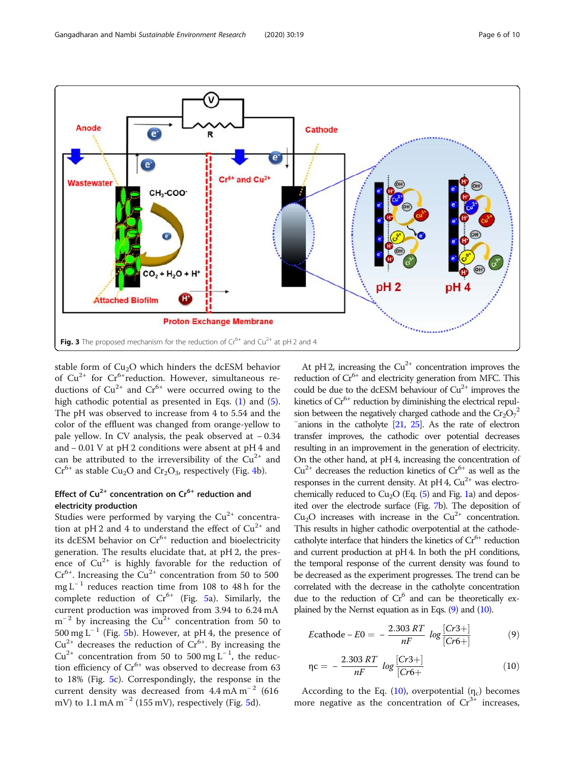<span id="page-5-0"></span>

stable form of  $Cu<sub>2</sub>O$  which hinders the dcESM behavior of  $Cu^{2+}$  for  $Cr^{6+}$ reduction. However, simultaneous reductions of  $Cu^{2+}$  and  $Cr^{6+}$  were occurred owing to the high cathodic potential as presented in Eqs. ([1\)](#page-1-0) and [\(5](#page-1-0)). The pH was observed to increase from 4 to 5.54 and the color of the effluent was changed from orange-yellow to pale yellow. In CV analysis, the peak observed at − 0.34 and − 0.01 V at pH 2 conditions were absent at pH 4 and can be attributed to the irreversibility of the  $Cu^{2+}$  and  $Cr^{6+}$  as stable Cu<sub>2</sub>O and Cr<sub>2</sub>O<sub>3</sub>, respectively (Fig. [4](#page-6-0)b).

# Effect of  $Cu^{2+}$  concentration on  $Cr^{6+}$  reduction and electricity production

Studies were performed by varying the  $Cu<sup>2+</sup>$  concentration at pH 2 and 4 to understand the effect of  $Cu^{2+}$  and its dcESM behavior on  $Cr^{6+}$  reduction and bioelectricity generation. The results elucidate that, at pH 2, the presence of  $Cu^{2+}$  is highly favorable for the reduction of  $Cr<sup>6+</sup>$ . Increasing the Cu<sup>2+</sup> concentration from 50 to 500 mg L<sup>-1</sup> reduces reaction time from 108 to 48 h for the complete reduction of  $Cr^{6+}$  (Fig. [5](#page-6-0)a). Similarly, the current production was improved from 3.94 to 6.24 mA  $m^{-2}$  by increasing the Cu<sup>2+</sup> concentration from 50 to  $500 \text{ mg}$  $500 \text{ mg}$  L<sup>-1</sup> (Fig. 5b). However, at pH 4, the presence of  $Cu^{2+}$  decreases the reduction of  $Cr^{6+}$ . By increasing the  $Cu^{2+}$  concentration from 50 to 500 mg L<sup>-1</sup>, the reduction efficiency of  $Cr^{6+}$  was observed to decrease from 63 to 18% (Fig. [5](#page-6-0)c). Correspondingly, the response in the current density was decreased from  $4.4 \text{ mA m}^{-2}$  (616 mV) to 1.1 mA m<sup>-2</sup> (1[5](#page-6-0)5 mV), respectively (Fig. 5d).

At pH 2, increasing the  $Cu^{2+}$  concentration improves the reduction of  $Cr^{6+}$  and electricity generation from MFC. This could be due to the dcESM behaviour of  $Cu^{2+}$  improves the kinetics of  $Cr^{6+}$  reduction by diminishing the electrical repulsion between the negatively charged cathode and the  $Cr_2O_7^{-2}$  $\overline{\phantom{a}}$  anions in the catholyte [\[21,](#page-9-0) [25\]](#page-9-0). As the rate of electron transfer improves, the cathodic over potential decreases resulting in an improvement in the generation of electricity. On the other hand, at pH 4, increasing the concentration of  $Cu^{2+}$  decreases the reduction kinetics of  $Cr^{6+}$  as well as the responses in the current density. At pH 4,  $Cu^{2+}$  was electrochemically reduced to  $Cu<sub>2</sub>O$  (Eq. ([5](#page-1-0)) and Fig. [1a](#page-2-0)) and deposited over the electrode surface (Fig. [7](#page-8-0)b). The deposition of  $Cu<sub>2</sub>O$  increases with increase in the  $Cu<sup>2+</sup>$  concentration. This results in higher cathodic overpotential at the cathodecatholyte interface that hinders the kinetics of  $Cr^{6+}$  reduction and current production at pH 4. In both the pH conditions, the temporal response of the current density was found to be decreased as the experiment progresses. The trend can be correlated with the decrease in the catholyte concentration due to the reduction of Cr<sup>6</sup> and can be theoretically explained by the Nernst equation as in Eqs. (9) and (10).

$$
E\text{cathode} - E0 = -\frac{2.303 RT}{nF} \log \frac{[Cr3+]}{[Cr6+]}
$$
 (9)

$$
\eta c = -\frac{2.303 RT}{nF} \log \frac{[Cr3+]}{[Cr6+]} \tag{10}
$$

According to the Eq.  $(10)$ , overpotential  $(\eta_c)$  becomes more negative as the concentration of  $Cr<sup>3+</sup>$  increases,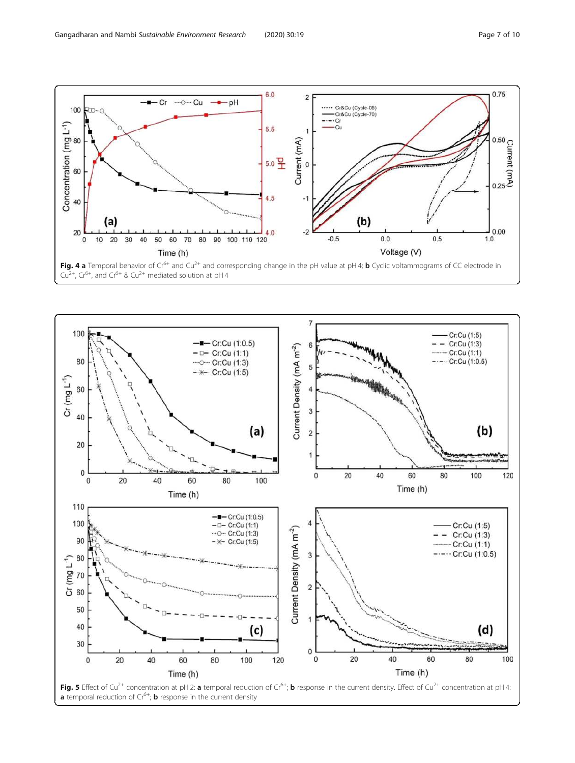<span id="page-6-0"></span>

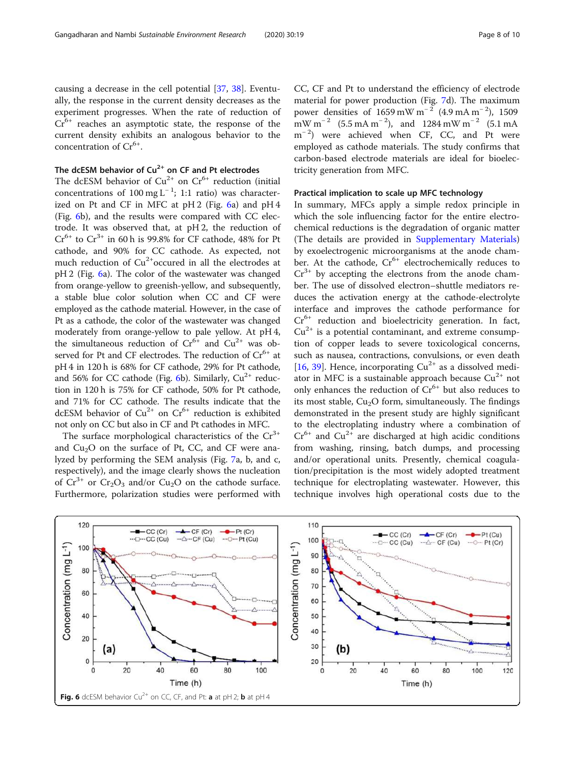causing a decrease in the cell potential [[37](#page-9-0), [38\]](#page-9-0). Eventually, the response in the current density decreases as the experiment progresses. When the rate of reduction of  $Cr<sup>6+</sup>$  reaches an asymptotic state, the response of the current density exhibits an analogous behavior to the concentration of Cr<sup>6+</sup>.

# The dcESM behavior of  $Cu^{2+}$  on CF and Pt electrodes

The dcESM behavior of  $Cu^{2+}$  on  $Cr^{6+}$  reduction (initial concentrations of  $100 \text{ mg L}^{-1}$ ; 1:1 ratio) was characterized on Pt and CF in MFC at pH 2 (Fig. 6a) and pH 4 (Fig. 6b), and the results were compared with CC electrode. It was observed that, at pH 2, the reduction of  $Cr^{6+}$  to  $Cr^{3+}$  in 60 h is 99.8% for CF cathode, 48% for Pt cathode, and 90% for CC cathode. As expected, not much reduction of  $Cu^{2+}$ occured in all the electrodes at pH 2 (Fig. 6a). The color of the wastewater was changed from orange-yellow to greenish-yellow, and subsequently, a stable blue color solution when CC and CF were employed as the cathode material. However, in the case of Pt as a cathode, the color of the wastewater was changed moderately from orange-yellow to pale yellow. At pH 4, the simultaneous reduction of  $Cr^{6+}$  and  $Cu^{2+}$  was observed for Pt and CF electrodes. The reduction of  $Cr^{6+}$  at pH 4 in 120 h is 68% for CF cathode, 29% for Pt cathode, and 56% for CC cathode (Fig. 6b). Similarly,  $Cu^{2+}$  reduction in 120 h is 75% for CF cathode, 50% for Pt cathode, and 71% for CC cathode. The results indicate that the dcESM behavior of  $Cu^{2+}$  on  $Cr^{6+}$  reduction is exhibited not only on CC but also in CF and Pt cathodes in MFC.

The surface morphological characteristics of the  $Cr^{3+}$ and  $Cu<sub>2</sub>O$  on the surface of Pt, CC, and CF were analyzed by performing the SEM analysis (Fig. [7](#page-8-0)a, b, and c, respectively), and the image clearly shows the nucleation of  $Cr^{3+}$  or  $Cr_2O_3$  and/or  $Cu_2O$  on the cathode surface. Furthermore, polarization studies were performed with CC, CF and Pt to understand the efficiency of electrode material for power production (Fig. [7](#page-8-0)d). The maximum power densities of 1659 mW m<sup>-2</sup> (4.9 mA m<sup>-2</sup>), 1509  $~^{\text{m}}$ W m<sup>-2</sup> (5.5 mA m<sup>-2</sup>), and 1284 mW m<sup>-2</sup> (5.1 mA m<sup>-2</sup>) were achieved when CF, CC, and Pt were employed as cathode materials. The study confirms that carbon-based electrode materials are ideal for bioelectricity generation from MFC.

# Practical implication to scale up MFC technology

In summary, MFCs apply a simple redox principle in which the sole influencing factor for the entire electrochemical reductions is the degradation of organic matter (The details are provided in [Supplementary Materials](#page-8-0)) by exoelectrogenic microorganisms at the anode chamber. At the cathode,  $Cr^{6+}$  electrochemically reduces to  $Cr^{3+}$  by accepting the electrons from the anode chamber. The use of dissolved electron–shuttle mediators reduces the activation energy at the cathode-electrolyte interface and improves the cathode performance for  $Cr<sup>6+</sup>$  reduction and bioelectricity generation. In fact,  $Cu<sup>2+</sup>$  is a potential contaminant, and extreme consumption of copper leads to severe toxicological concerns, such as nausea, contractions, convulsions, or even death [[16,](#page-9-0) [39\]](#page-9-0). Hence, incorporating  $Cu^{2+}$  as a dissolved mediator in MFC is a sustainable approach because  $Cu^{2+}$  not only enhances the reduction of  $Cr^{6+}$  but also reduces to its most stable,  $Cu<sub>2</sub>O$  form, simultaneously. The findings demonstrated in the present study are highly significant to the electroplating industry where a combination of  $Cr^{6+}$  and  $Cu^{2+}$  are discharged at high acidic conditions from washing, rinsing, batch dumps, and processing and/or operational units. Presently, chemical coagulation/precipitation is the most widely adopted treatment technique for electroplating wastewater. However, this technique involves high operational costs due to the

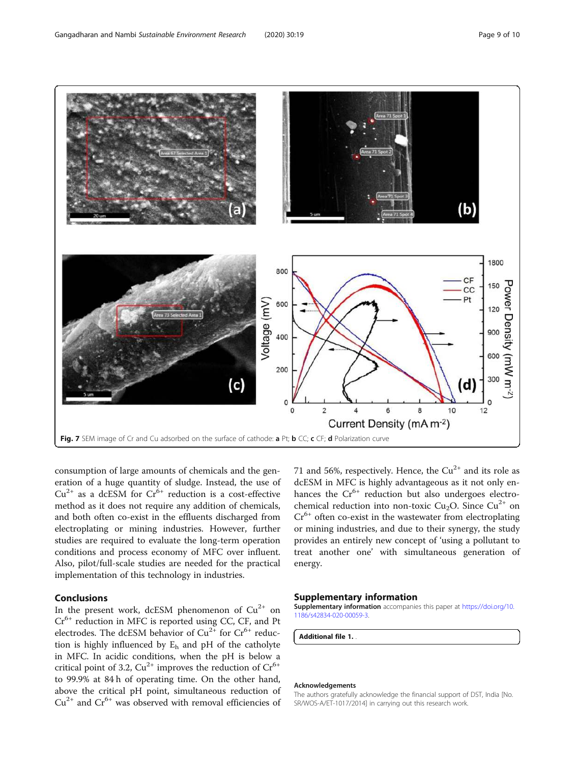<span id="page-8-0"></span>

consumption of large amounts of chemicals and the generation of a huge quantity of sludge. Instead, the use of  $Cu^{2+}$  as a dcESM for  $Cr^{6+}$  reduction is a cost-effective method as it does not require any addition of chemicals, and both often co-exist in the effluents discharged from electroplating or mining industries. However, further studies are required to evaluate the long-term operation conditions and process economy of MFC over influent. Also, pilot/full-scale studies are needed for the practical implementation of this technology in industries.

# Conclusions

In the present work, dcESM phenomenon of  $Cu^{2+}$  on  $Cr<sup>6+</sup>$  reduction in MFC is reported using CC, CF, and Pt electrodes. The dcESM behavior of  $Cu^{2+}$  for  $Cr^{6+}$  reduction is highly influenced by  $E_h$  and pH of the catholyte in MFC. In acidic conditions, when the pH is below a critical point of 3.2,  $Cu^{2+}$  improves the reduction of  $Cr^{6+}$ to 99.9% at 84 h of operating time. On the other hand, above the critical pH point, simultaneous reduction of  $Cu<sup>2+</sup>$  and  $Cr<sup>6+</sup>$  was observed with removal efficiencies of 71 and 56%, respectively. Hence, the  $Cu^{2+}$  and its role as dcESM in MFC is highly advantageous as it not only enhances the Cr<sup>6+</sup> reduction but also undergoes electrochemical reduction into non-toxic Cu<sub>2</sub>O. Since Cu<sup>2+</sup> on  $Cr<sup>6+</sup>$  often co-exist in the wastewater from electroplating or mining industries, and due to their synergy, the study provides an entirely new concept of 'using a pollutant to treat another one' with simultaneous generation of energy.

# Supplementary information

Supplementary information accompanies this paper at [https://doi.org/10.](https://doi.org/10.1186/s42834-020-00059-3) [1186/s42834-020-00059-3](https://doi.org/10.1186/s42834-020-00059-3).

Additional file 1. .

#### Acknowledgements

The authors gratefully acknowledge the financial support of DST, India [No. SR/WOS-A/ET-1017/2014] in carrying out this research work.